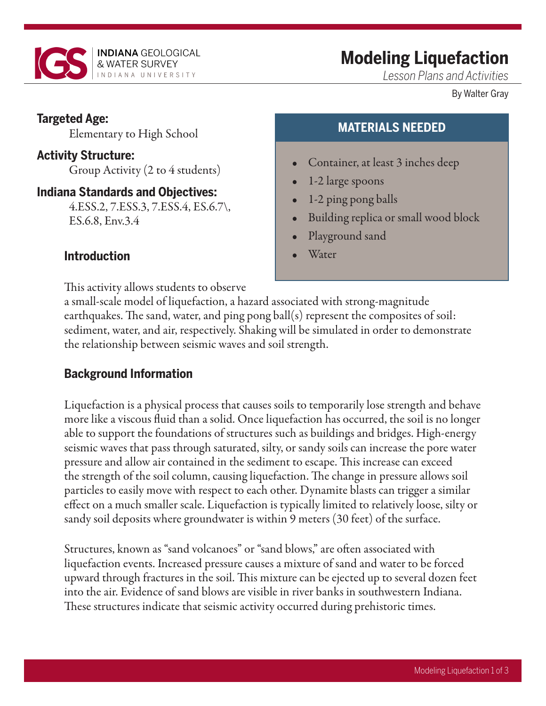

# **Modeling Liquefaction**

*Lesson Plans and Activities*

By Walter Gray

### **Targeted Age:**

Elementary to High School

### **Activity Structure:**

Group Activity (2 to 4 students)

### **Indiana Standards and Objectives:**

4.ESS.2, 7.ESS.3, 7.ESS.4, ES.6.7\, ES.6.8, Env.3.4

## **Introduction**

This activity allows students to observe

# **MATERIALS NEEDED**

- Container, at least 3 inches deep
- 1-2 large spoons
- 1-2 ping pong balls
- Building replica or small wood block
- Playground sand
- **Water**

a small-scale model of liquefaction, a hazard associated with strong-magnitude earthquakes. The sand, water, and ping pong ball(s) represent the composites of soil: sediment, water, and air, respectively. Shaking will be simulated in order to demonstrate the relationship between seismic waves and soil strength.

## **Background Information**

Liquefaction is a physical process that causes soils to temporarily lose strength and behave more like a viscous fluid than a solid. Once liquefaction has occurred, the soil is no longer able to support the foundations of structures such as buildings and bridges. High-energy seismic waves that pass through saturated, silty, or sandy soils can increase the pore water pressure and allow air contained in the sediment to escape. This increase can exceed the strength of the soil column, causing liquefaction. The change in pressure allows soil particles to easily move with respect to each other. Dynamite blasts can trigger a similar effect on a much smaller scale. Liquefaction is typically limited to relatively loose, silty or sandy soil deposits where groundwater is within 9 meters (30 feet) of the surface.

Structures, known as "sand volcanoes" or "sand blows," are often associated with liquefaction events. Increased pressure causes a mixture of sand and water to be forced upward through fractures in the soil. This mixture can be ejected up to several dozen feet into the air. Evidence of sand blows are visible in river banks in southwestern Indiana. These structures indicate that seismic activity occurred during prehistoric times.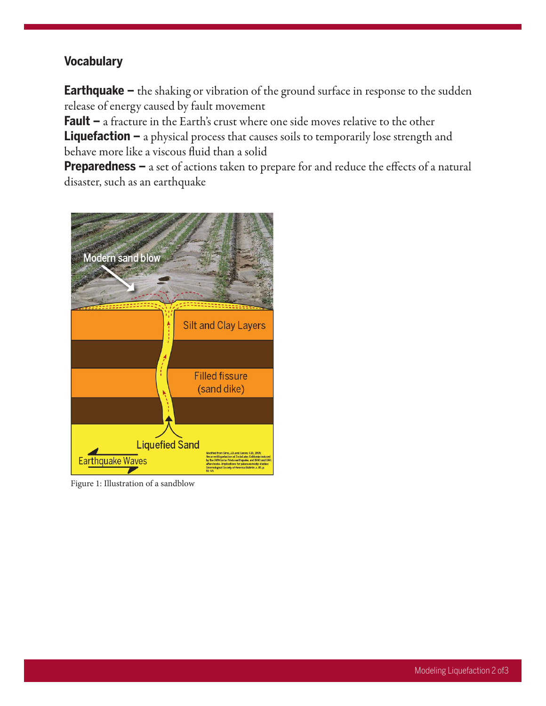### **Vocabulary**

**Earthquake –** the shaking or vibration of the ground surface in response to the sudden release of energy caused by fault movement

**Fault –** a fracture in the Earth's crust where one side moves relative to the other **Liquefaction –** a physical process that causes soils to temporarily lose strength and behave more like a viscous fluid than a solid

**Preparedness –** a set of actions taken to prepare for and reduce the effects of a natural disaster, such as an earthquake



Figure 1: Illustration of a sandblow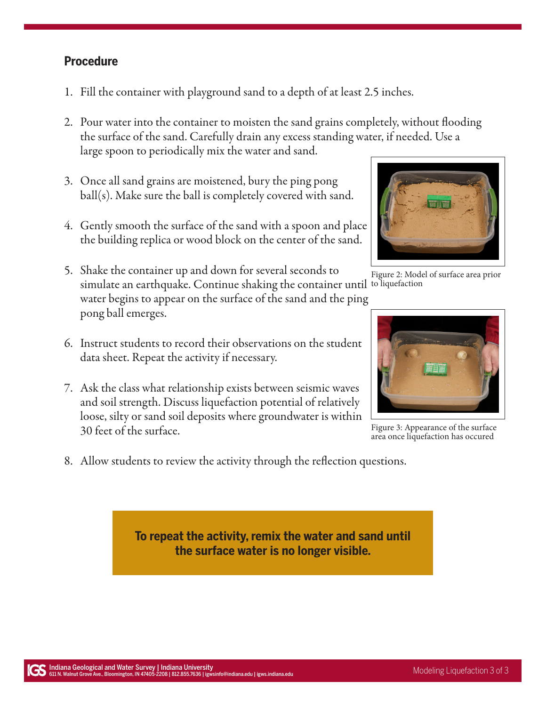#### **Procedure**

- 1. Fill the container with playground sand to a depth of at least 2.5 inches.
- 2. Pour water into the container to moisten the sand grains completely, without flooding the surface of the sand. Carefully drain any excess standing water, if needed. Use a large spoon to periodically mix the water and sand.
- 3. Once all sand grains are moistened, bury the ping pong ball(s). Make sure the ball is completely covered with sand.
- 4. Gently smooth the surface of the sand with a spoon and place the building replica or wood block on the center of the sand.
- 5. Shake the container up and down for several seconds to simulate an earthquake. Continue shaking the container until to liquefaction water begins to appear on the surface of the sand and the ping pong ball emerges.
- 6. Instruct students to record their observations on the student data sheet. Repeat the activity if necessary.
- 7. Ask the class what relationship exists between seismic waves and soil strength. Discuss liquefaction potential of relatively loose, silty or sand soil deposits where groundwater is within 30 feet of the surface.
- 8. Allow students to review the activity through the reflection questions.

**To repeat the activity, remix the water and sand until the surface water is no longer visible.**



Figure 2: Model of surface area prior



Figure 3: Appearance of the surface area once liquefaction has occured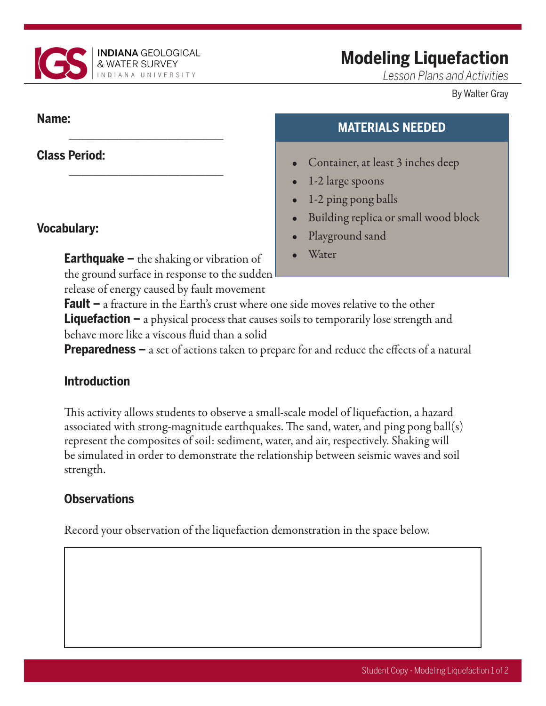

\_\_\_\_\_\_\_\_\_\_\_\_\_\_\_\_\_\_\_\_\_\_\_\_\_

\_\_\_\_\_\_\_\_\_\_\_\_\_\_\_\_\_\_\_\_\_\_\_\_\_

# **Modeling Liquefaction**

*Lesson Plans and Activities*

By Walter Gray

### **Name:**

## **Class Period:**

## **Vocabulary:**

**Earthquake –** the shaking or vibration of the ground surface in response to the sudden release of energy caused by fault movement

# **MATERIALS NEEDED**

- Container, at least 3 inches deep
- 1-2 large spoons
- 1-2 ping pong balls
- Building replica or small wood block
- Playground sand
- **Water**

**Fault –** a fracture in the Earth's crust where one side moves relative to the other **Liquefaction –** a physical process that causes soils to temporarily lose strength and behave more like a viscous fluid than a solid

**Preparedness –** a set of actions taken to prepare for and reduce the effects of a natural

# **Introduction**

This activity allows students to observe a small-scale model of liquefaction, a hazard associated with strong-magnitude earthquakes. The sand, water, and ping pong ball(s) represent the composites of soil: sediment, water, and air, respectively. Shaking will be simulated in order to demonstrate the relationship between seismic waves and soil strength.

# **Observations**

Record your observation of the liquefaction demonstration in the space below.